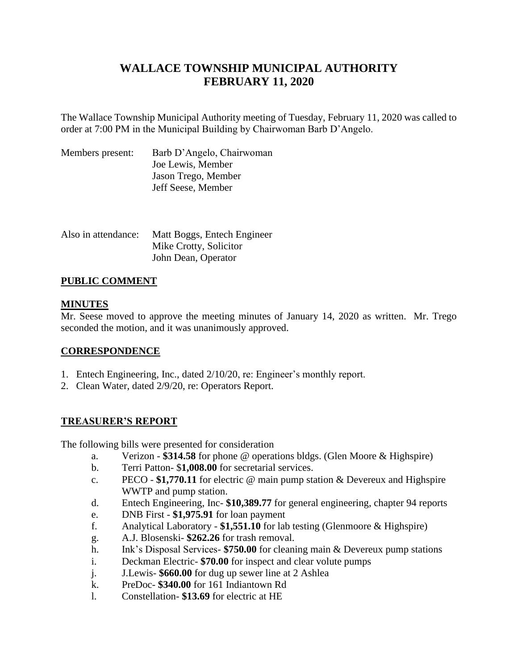# **WALLACE TOWNSHIP MUNICIPAL AUTHORITY FEBRUARY 11, 2020**

The Wallace Township Municipal Authority meeting of Tuesday, February 11, 2020 was called to order at 7:00 PM in the Municipal Building by Chairwoman Barb D'Angelo.

| Members present: | Barb D'Angelo, Chairwoman |
|------------------|---------------------------|
|                  | Joe Lewis, Member         |
|                  | Jason Trego, Member       |
|                  | Jeff Seese, Member        |

| Also in attendance: | Matt Boggs, Entech Engineer |
|---------------------|-----------------------------|
|                     | Mike Crotty, Solicitor      |
|                     | John Dean, Operator         |

## **PUBLIC COMMENT**

## **MINUTES**

Mr. Seese moved to approve the meeting minutes of January 14, 2020 as written. Mr. Trego seconded the motion, and it was unanimously approved.

## **CORRESPONDENCE**

- 1. Entech Engineering, Inc., dated 2/10/20, re: Engineer's monthly report.
- 2. Clean Water, dated 2/9/20, re: Operators Report.

## **TREASURER'S REPORT**

The following bills were presented for consideration

- a. Verizon **\$314.58** for phone @ operations bldgs. (Glen Moore & Highspire)
- b. Terri Patton- \$**1,008.00** for secretarial services.
- c. PECO **\$1,770.11** for electric @ main pump station & Devereux and Highspire WWTP and pump station.
- d. Entech Engineering, Inc- **\$10,389.77** for general engineering, chapter 94 reports
- e. DNB First **\$1,975.91** for loan payment
- f. Analytical Laboratory **\$1,551.10** for lab testing (Glenmoore & Highspire)
- g. A.J. Blosenski- **\$262.26** for trash removal.
- h. Ink's Disposal Services- **\$750.00** for cleaning main & Devereux pump stations
- i. Deckman Electric- **\$70.00** for inspect and clear volute pumps
- j. J.Lewis- **\$660.00** for dug up sewer line at 2 Ashlea
- k. PreDoc- **\$340.00** for 161 Indiantown Rd
- l. Constellation- **\$13.69** for electric at HE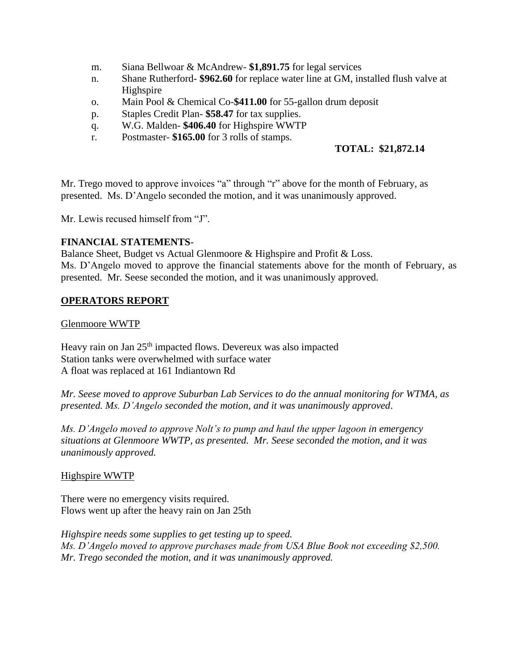- m. Siana Bellwoar & McAndrew- **\$1,891.75** for legal services
- n. Shane Rutherford- **\$962.60** for replace water line at GM, installed flush valve at Highspire
- o. Main Pool & Chemical Co-**\$411.00** for 55-gallon drum deposit
- p. Staples Credit Plan- **\$58.47** for tax supplies.
- q. W.G. Malden- **\$406.40** for Highspire WWTP
- r. Postmaster- **\$165.00** for 3 rolls of stamps.

## **TOTAL: \$21,872.14**

Mr. Trego moved to approve invoices "a" through "r" above for the month of February, as presented. Ms. D'Angelo seconded the motion, and it was unanimously approved.

Mr. Lewis recused himself from "J".

## **FINANCIAL STATEMENTS**-

Balance Sheet, Budget vs Actual Glenmoore & Highspire and Profit & Loss. Ms. D'Angelo moved to approve the financial statements above for the month of February, as presented. Mr. Seese seconded the motion, and it was unanimously approved.

## **OPERATORS REPORT**

Glenmoore WWTP

Heavy rain on Jan 25<sup>th</sup> impacted flows. Devereux was also impacted Station tanks were overwhelmed with surface water A float was replaced at 161 Indiantown Rd

*Mr. Seese moved to approve Suburban Lab Services to do the annual monitoring for WTMA, as presented. Ms. D'Angelo seconded the motion, and it was unanimously approved*.

*Ms. D'Angelo moved to approve Nolt's to pump and haul the upper lagoon in emergency situations at Glenmoore WWTP, as presented. Mr. Seese seconded the motion, and it was unanimously approved.*

Highspire WWTP

There were no emergency visits required. Flows went up after the heavy rain on Jan 25th

*Highspire needs some supplies to get testing up to speed. Ms. D'Angelo moved to approve purchases made from USA Blue Book not exceeding \$2,500. Mr. Trego seconded the motion, and it was unanimously approved.*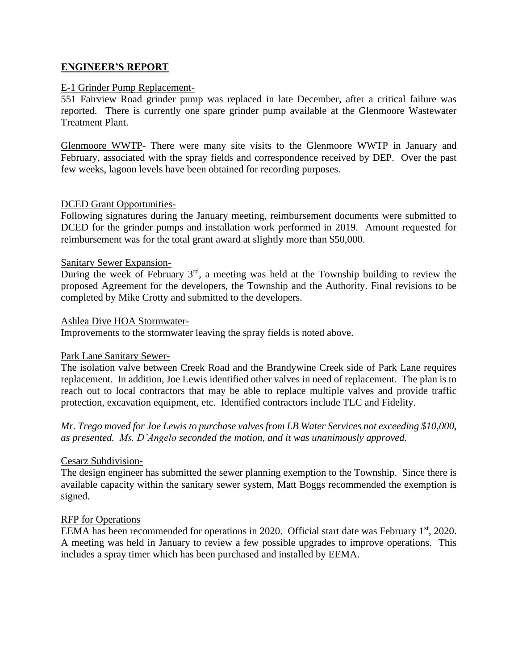## **ENGINEER'S REPORT**

## E-1 Grinder Pump Replacement-

551 Fairview Road grinder pump was replaced in late December, after a critical failure was reported. There is currently one spare grinder pump available at the Glenmoore Wastewater Treatment Plant.

Glenmoore WWTP- There were many site visits to the Glenmoore WWTP in January and February, associated with the spray fields and correspondence received by DEP. Over the past few weeks, lagoon levels have been obtained for recording purposes.

## DCED Grant Opportunities-

Following signatures during the January meeting, reimbursement documents were submitted to DCED for the grinder pumps and installation work performed in 2019. Amount requested for reimbursement was for the total grant award at slightly more than \$50,000.

#### Sanitary Sewer Expansion-

During the week of February 3<sup>rd</sup>, a meeting was held at the Township building to review the proposed Agreement for the developers, the Township and the Authority. Final revisions to be completed by Mike Crotty and submitted to the developers.

#### Ashlea Dive HOA Stormwater-

Improvements to the stormwater leaving the spray fields is noted above.

#### Park Lane Sanitary Sewer-

The isolation valve between Creek Road and the Brandywine Creek side of Park Lane requires replacement. In addition, Joe Lewis identified other valves in need of replacement. The plan is to reach out to local contractors that may be able to replace multiple valves and provide traffic protection, excavation equipment, etc. Identified contractors include TLC and Fidelity.

*Mr. Trego moved for Joe Lewis to purchase valves from LB Water Services not exceeding \$10,000, as presented. Ms. D'Angelo seconded the motion, and it was unanimously approved.*

## Cesarz Subdivision-

The design engineer has submitted the sewer planning exemption to the Township. Since there is available capacity within the sanitary sewer system, Matt Boggs recommended the exemption is signed.

## RFP for Operations

EEMA has been recommended for operations in 2020. Official start date was February 1<sup>st</sup>, 2020. A meeting was held in January to review a few possible upgrades to improve operations. This includes a spray timer which has been purchased and installed by EEMA.